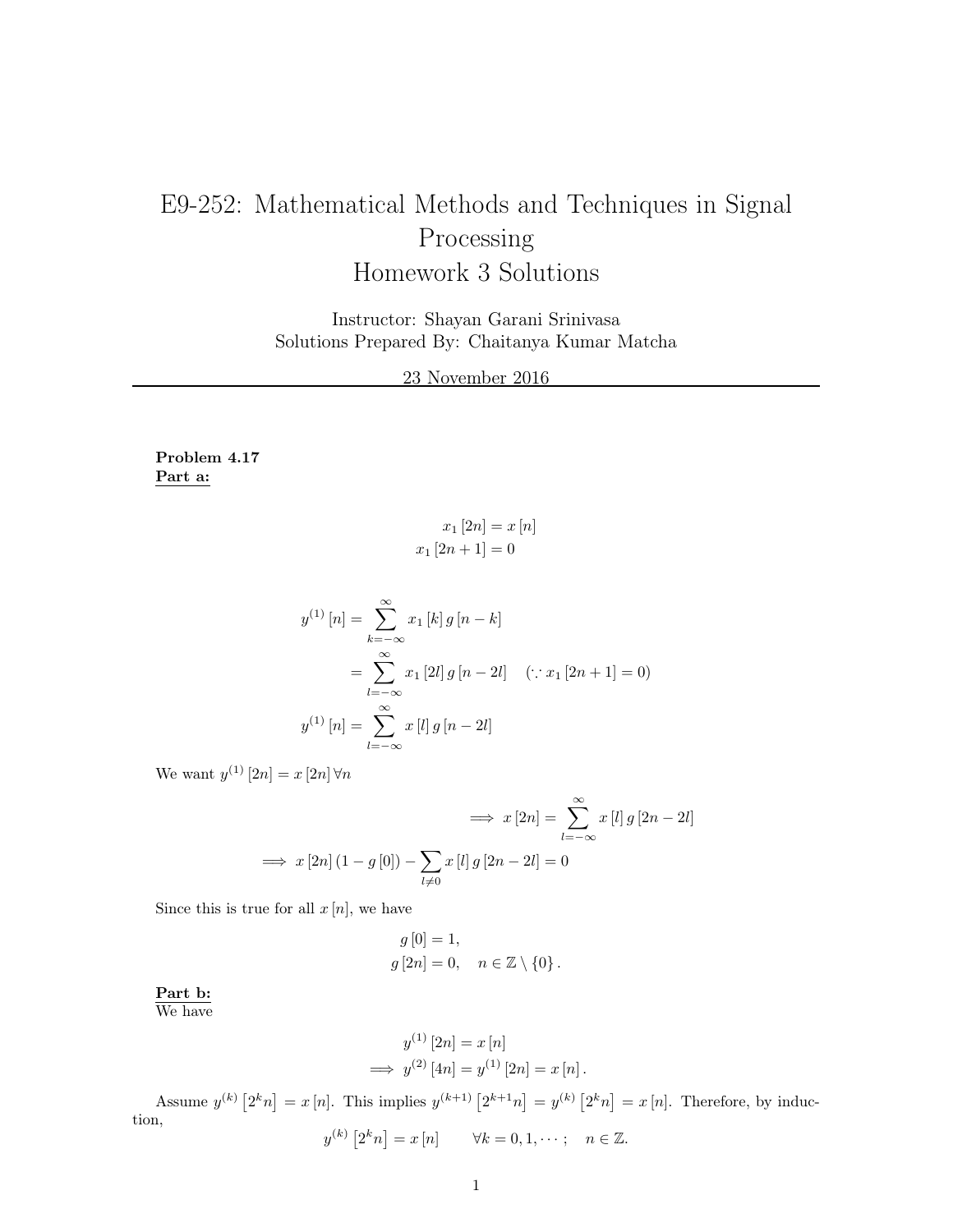## E9-252: Mathematical Methods and Techniques in Signal Processing Homework 3 Solutions

Instructor: Shayan Garani Srinivasa Solutions Prepared By: Chaitanya Kumar Matcha

23 November 2016

Problem 4.17 Part a:

> $x_1 [2n] = x [n]$  $x_1 [2n + 1] = 0$

$$
y^{(1)} [n] = \sum_{k=-\infty}^{\infty} x_1 [k] g [n - k]
$$
  
= 
$$
\sum_{l=-\infty}^{\infty} x_1 [2l] g [n - 2l] \quad (\because x_1 [2n + 1] = 0)
$$
  

$$
y^{(1)} [n] = \sum_{l=-\infty}^{\infty} x [l] g [n - 2l]
$$

We want  $y^{(1)}[2n] = x[2n]\,\forall n$ 

$$
\implies x[2n] = \sum_{l=-\infty}^{\infty} x[l] g [2n - 2l]
$$

$$
\implies x[2n] (1 - g[0]) - \sum_{l \neq 0} x[l] g [2n - 2l] = 0
$$

Since this is true for all  $x[n]$ , we have

$$
g [0] = 1,
$$
  

$$
g [2n] = 0, \quad n \in \mathbb{Z} \setminus \{0\}.
$$

Part b: We have

$$
y^{(1)} [2n] = x [n]
$$
  
\n
$$
\implies y^{(2)} [4n] = y^{(1)} [2n] = x [n].
$$

Assume  $y^{(k)}\left[2^k n\right] = x[n]$ . This implies  $y^{(k+1)}\left[2^{k+1} n\right] = y^{(k)}\left[2^k n\right] = x[n]$ . Therefore, by induction,  $y^{(k)} [2^k n] = x [n] \quad \forall k = 0, 1, \dots; \quad n \in \mathbb{Z}.$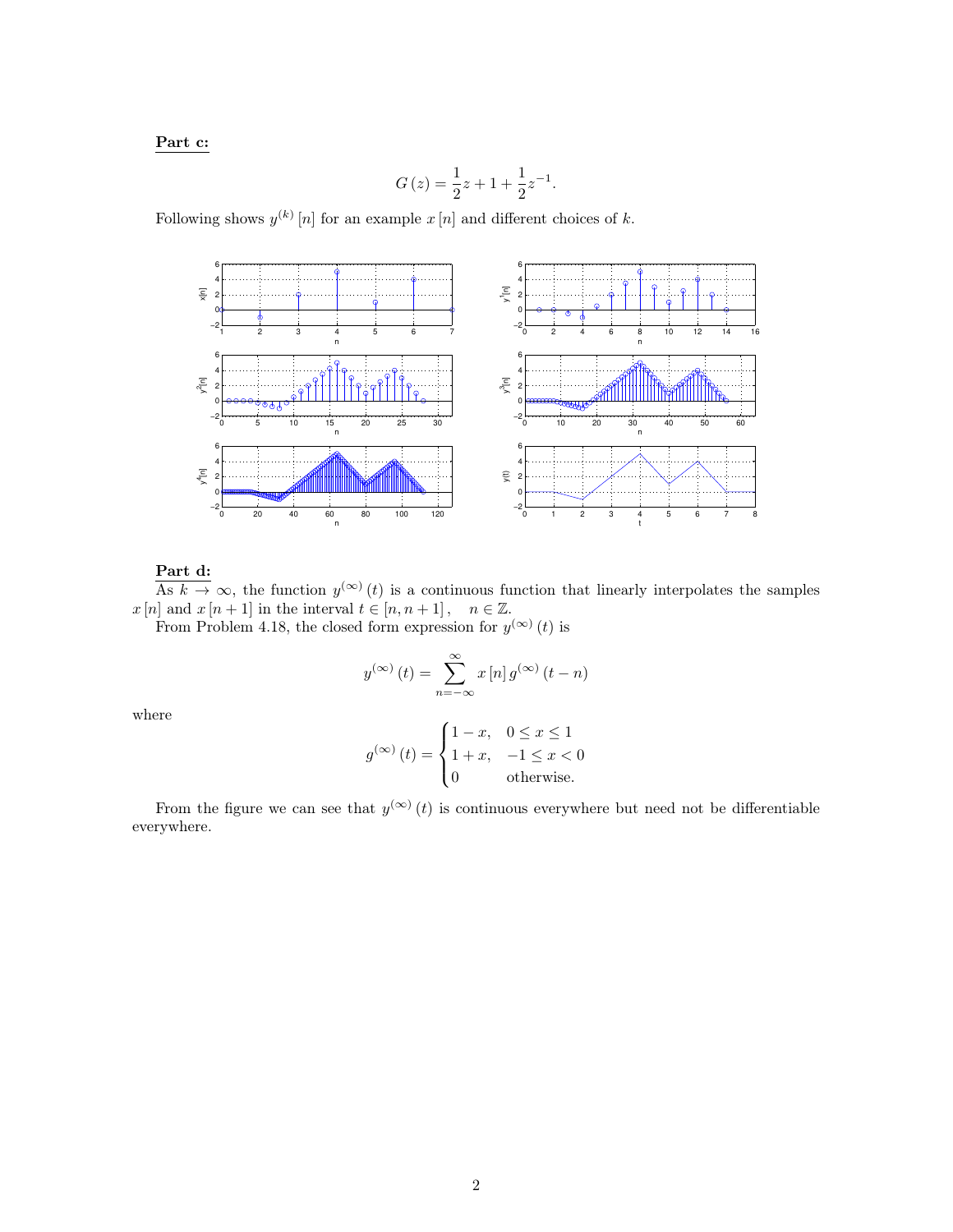## Part c:

$$
G(z) = \frac{1}{2}z + 1 + \frac{1}{2}z^{-1}.
$$

Following shows  $y^{(k)}[n]$  for an example  $x[n]$  and different choices of k.



## Part d:

As  $k \to \infty$ , the function  $y^{(\infty)}(t)$  is a continuous function that linearly interpolates the samples  $x[n]$  and  $x[n+1]$  in the interval  $t \in [n, n+1]$ ,  $n \in \mathbb{Z}$ .

From Problem 4.18, the closed form expression for  $y^{(\infty)}(t)$  is

$$
y^{(\infty)}(t) = \sum_{n=-\infty}^{\infty} x[n] g^{(\infty)}(t-n)
$$

where

$$
g^{(\infty)}(t) = \begin{cases} 1 - x, & 0 \le x \le 1 \\ 1 + x, & -1 \le x < 0 \\ 0 & \text{otherwise.} \end{cases}
$$

From the figure we can see that  $y^{(\infty)}(t)$  is continuous everywhere but need not be differentiable everywhere.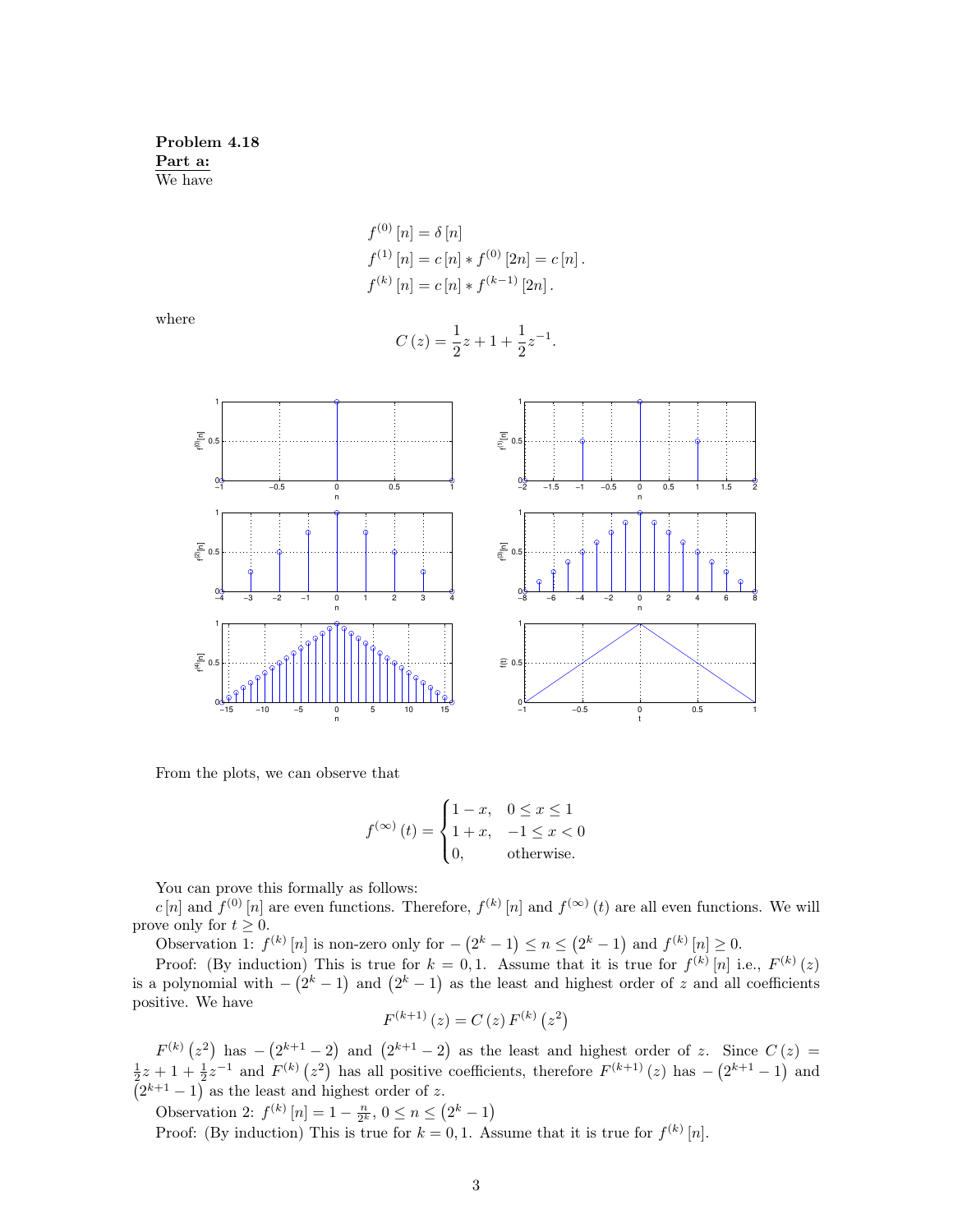Problem 4.18 Part a: We have

$$
f^{(0)} [n] = \delta [n]
$$
  
\n
$$
f^{(1)} [n] = c [n] * f^{(0)} [2n] = c [n].
$$
  
\n
$$
f^{(k)} [n] = c [n] * f^{(k-1)} [2n].
$$

where

$$
C(z) = \frac{1}{2}z + 1 + \frac{1}{2}z^{-1}.
$$



From the plots, we can observe that

$$
f^{(\infty)}(t) = \begin{cases} 1 - x, & 0 \le x \le 1 \\ 1 + x, & -1 \le x < 0 \\ 0, & \text{otherwise.} \end{cases}
$$

You can prove this formally as follows:

c [n] and  $f^{(0)}[n]$  are even functions. Therefore,  $f^{(k)}[n]$  and  $f^{(\infty)}(t)$  are all even functions. We will prove only for  $t \geq 0$ .

Observation 1:  $f^{(k)}[n]$  is non-zero only for  $-(2^k-1) \le n \le (2^k-1)$  and  $f^{(k)}[n] \ge 0$ .

Proof: (By induction) This is true for  $k = 0, 1$ . Assume that it is true for  $f^{(k)}[n]$  i.e.,  $F^{(k)}(z)$ is a polynomial with  $-(2^k-1)$  and  $(2^k-1)$  as the least and highest order of z and all coefficients positive. We have

$$
F^{(k+1)}(z) = C(z) F^{(k)}(z^2)
$$

 $F^{(k)}(z^2)$  has  $-(2^{k+1}-2)$  and  $(2^{k+1}-2)$  as the least and highest order of z. Since  $C(z)$  =  $\frac{1}{2}z+1+\frac{1}{2}z^{-1}$  and  $F^{(k)}(z^2)$  has all positive coefficients, therefore  $F^{(k+1)}(z)$  has  $-\left(2^{k+1}-1\right)$  and  $(2^{k+1} - 1)$  as the least and highest order of z.

Observation 2:  $f^{(k)}[n] = 1 - \frac{n}{2^k}, 0 \le n \le (2^k - 1)$ 

Proof: (By induction) This is true for  $k = 0, 1$ . Assume that it is true for  $f^{(k)}[n]$ .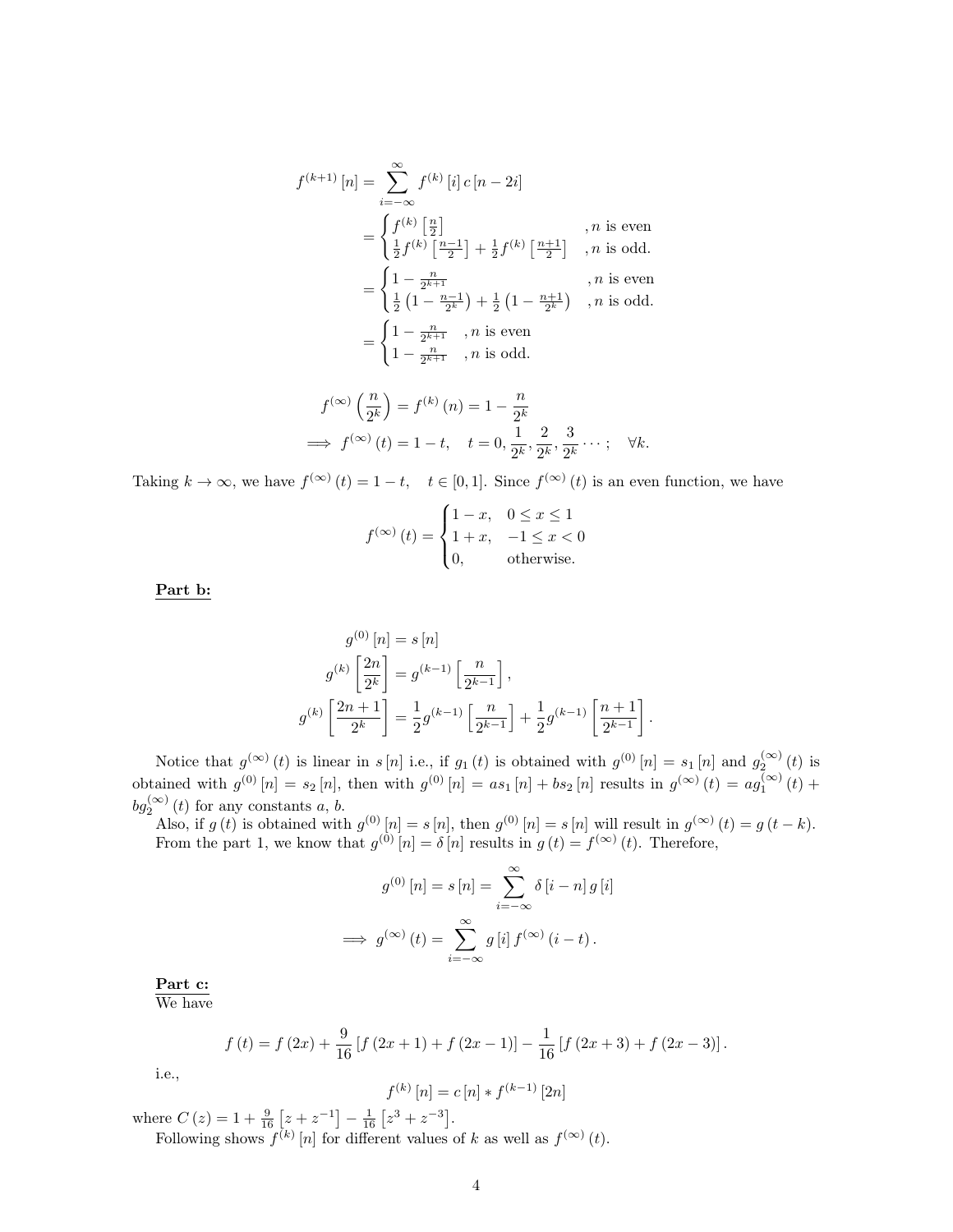$$
f^{(k+1)}[n] = \sum_{i=-\infty}^{\infty} f^{(k)}[i] c [n-2i]
$$
  
= 
$$
\begin{cases} f^{(k)}\left[\frac{n}{2}\right] & , n \text{ is even} \\ \frac{1}{2} f^{(k)}\left[\frac{n-1}{2}\right] + \frac{1}{2} f^{(k)}\left[\frac{n+1}{2}\right] & , n \text{ is odd.} \end{cases}
$$
  
= 
$$
\begin{cases} 1 - \frac{n}{2^{k+1}} & , n \text{ is even} \\ \frac{1}{2} \left(1 - \frac{n-1}{2^{k}}\right) + \frac{1}{2} \left(1 - \frac{n+1}{2^{k}}\right) & , n \text{ is odd.} \end{cases}
$$
  
= 
$$
\begin{cases} 1 - \frac{n}{2^{k+1}} & , n \text{ is even} \\ 1 - \frac{n}{2^{k+1}} & , n \text{ is odd.} \end{cases}
$$
  

$$
f(\infty) \left(\frac{n}{2}\right) = f^{(k)}(n) - 1 = \frac{n}{2^{k+1}}
$$

$$
f^{(\infty)}\left(\frac{n}{2^k}\right) = f^{(k)}\left(n\right) = 1 - \frac{n}{2^k}
$$
  
\n
$$
\implies f^{(\infty)}\left(t\right) = 1 - t, \quad t = 0, \frac{1}{2^k}, \frac{2}{2^k}, \frac{3}{2^k} \cdots; \quad \forall k.
$$

Taking  $k \to \infty$ , we have  $f^{(\infty)}(t) = 1 - t$ ,  $t \in [0, 1]$ . Since  $f^{(\infty)}(t)$  is an even function, we have

$$
f^{(\infty)}(t) = \begin{cases} 1 - x, & 0 \le x \le 1 \\ 1 + x, & -1 \le x < 0 \\ 0, & \text{otherwise.} \end{cases}
$$

Part b:

$$
g^{(0)}[n] = s[n]
$$
  
\n
$$
g^{(k)}\left[\frac{2n}{2^k}\right] = g^{(k-1)}\left[\frac{n}{2^{k-1}}\right],
$$
  
\n
$$
g^{(k)}\left[\frac{2n+1}{2^k}\right] = \frac{1}{2}g^{(k-1)}\left[\frac{n}{2^{k-1}}\right] + \frac{1}{2}g^{(k-1)}\left[\frac{n+1}{2^{k-1}}\right]
$$

.

Notice that  $g^{(\infty)}(t)$  is linear in s[n] i.e., if  $g_1(t)$  is obtained with  $g^{(0)}[n] = s_1[n]$  and  $g_2^{(\infty)}(t)$  is obtained with  $g^{(0)}[n] = s_2[n]$ , then with  $g^{(0)}[n] = as_1[n] + bs_2[n]$  results in  $g^{(\infty)}(t) = ag_1^{(\infty)}(t) +$  $bg_2^{(\infty)}(t)$  for any constants a, b.

Also, if  $g(t)$  is obtained with  $g^{(0)}[n] = s[n]$ , then  $g^{(0)}[n] = s[n]$  will result in  $g^{(\infty)}(t) = g(t-k)$ . From the part 1, we know that  $g^{(0)}[n] = \delta[n]$  results in  $g(t) = f^{(\infty)}(t)$ . Therefore,

$$
g^{(0)}[n] = s[n] = \sum_{i=-\infty}^{\infty} \delta[i-n] g[i]
$$

$$
\implies g^{(\infty)}(t) = \sum_{i=-\infty}^{\infty} g[i] f^{(\infty)}(i-t).
$$

Part c:

We have

$$
f(t) = f(2x) + \frac{9}{16} [f(2x+1) + f(2x-1)] - \frac{1}{16} [f(2x+3) + f(2x-3)].
$$

i.e.,

$$
f^{(k)}[n] = c[n] * f^{(k-1)}[2n]
$$

where  $C(z) = 1 + \frac{9}{16} \left[ z + z^{-1} \right] - \frac{1}{16} \left[ z^3 + z^{-3} \right]$ . Following shows  $f^{(k)}[n]$  for different values of k as well as  $f^{(\infty)}(t)$ .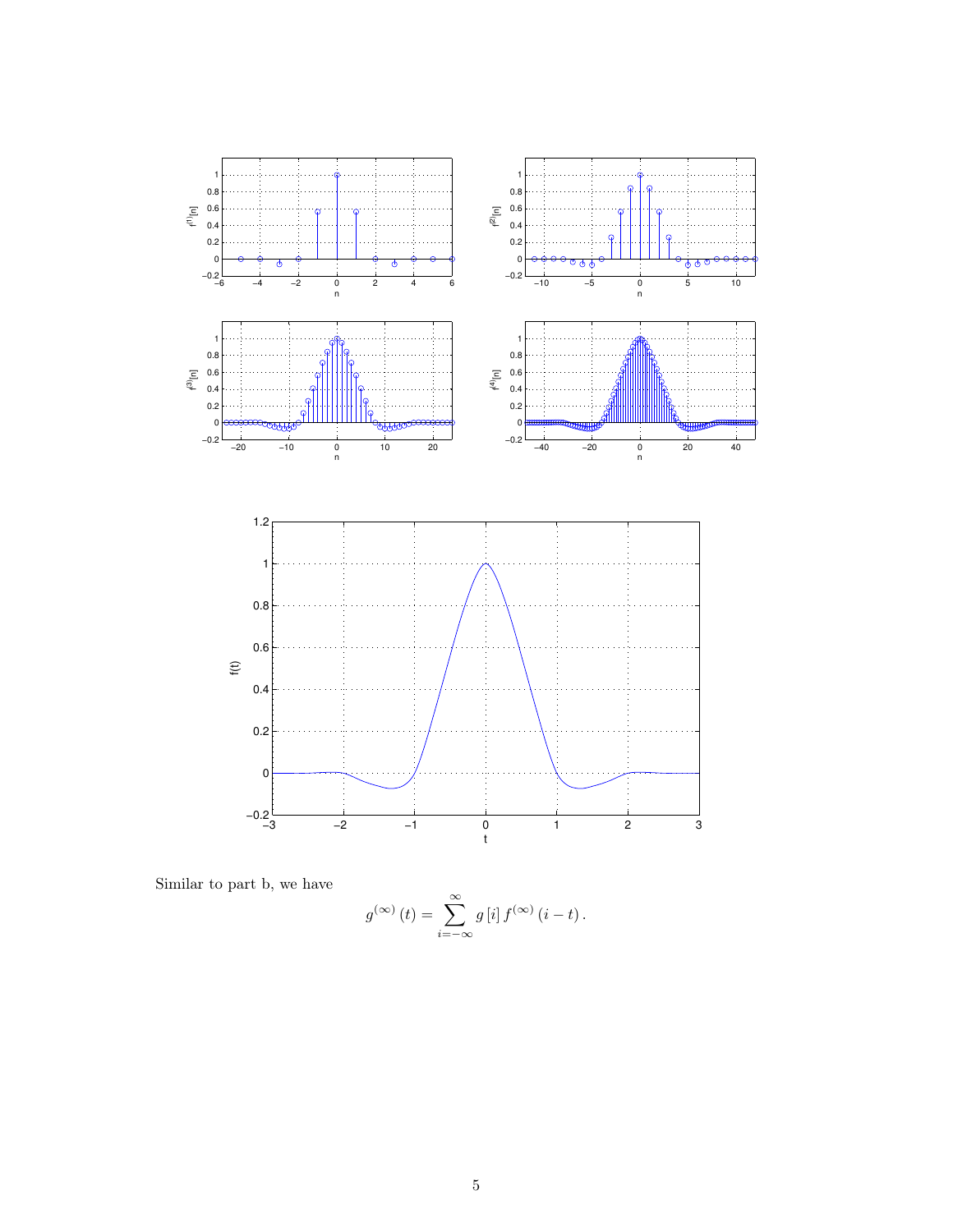

Similar to part b, we have

$$
g^{(\infty)}(t) = \sum_{i=-\infty}^{\infty} g[i] f^{(\infty)}(i-t).
$$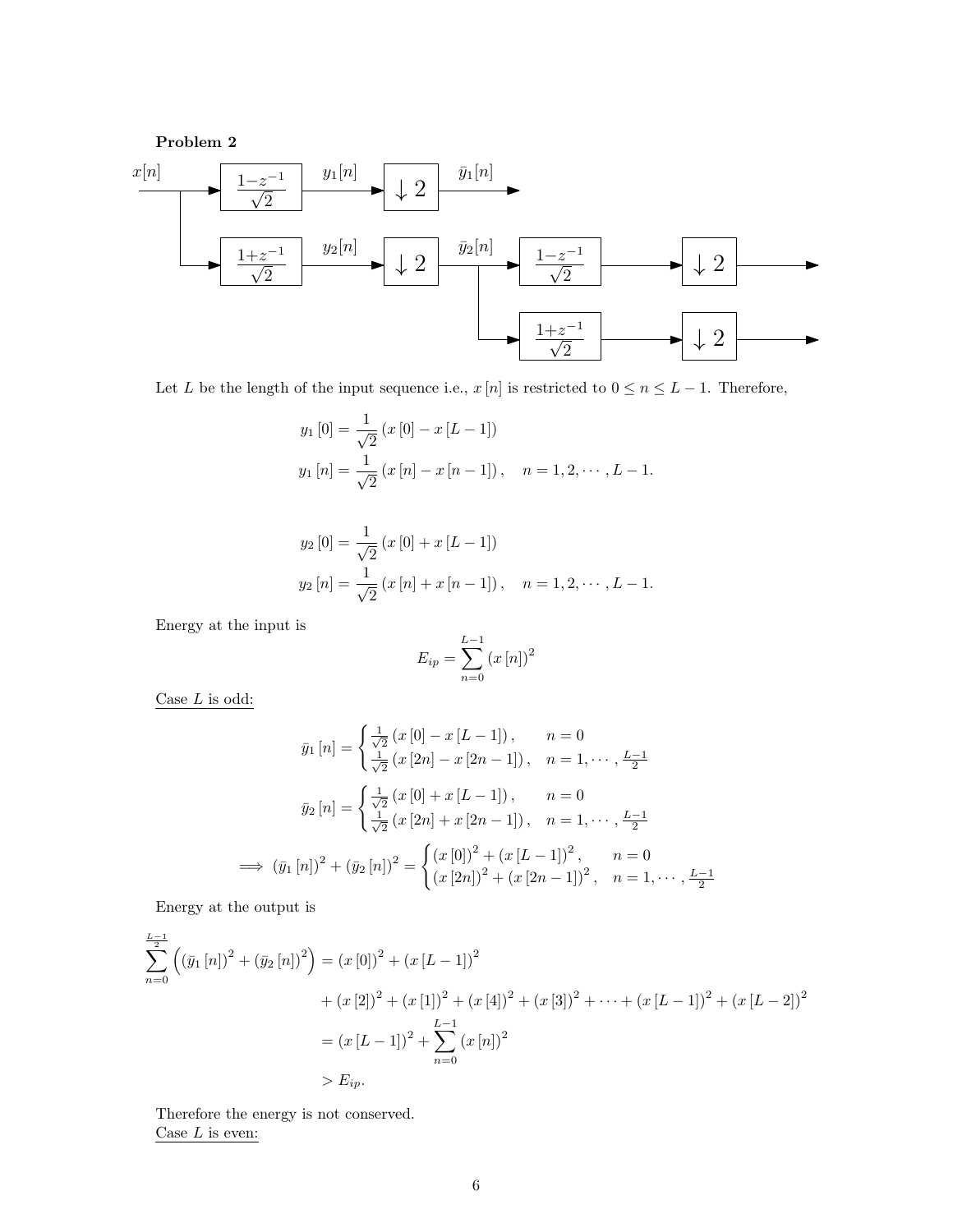

Let L be the length of the input sequence i.e.,  $x[n]$  is restricted to  $0 \le n \le L - 1$ . Therefore,

$$
y_1 [0] = \frac{1}{\sqrt{2}} (x [0] - x [L - 1])
$$
  
\n
$$
y_1 [n] = \frac{1}{\sqrt{2}} (x [n] - x [n - 1]), \quad n = 1, 2, \dots, L - 1.
$$

$$
y_2 [0] = \frac{1}{\sqrt{2}} (x [0] + x [L - 1])
$$
  
\n
$$
y_2 [n] = \frac{1}{\sqrt{2}} (x [n] + x [n - 1]), \quad n = 1, 2, \dots, L - 1.
$$

Energy at the input is

$$
E_{ip} = \sum_{n=0}^{L-1} (x[n])^2
$$

Case  $L$  is odd:

$$
\bar{y}_1[n] = \begin{cases}\n\frac{1}{\sqrt{2}} (x [0] - x [L - 1]), & n = 0 \\
\frac{1}{\sqrt{2}} (x [2n] - x [2n - 1]), & n = 1, \dots, \frac{L - 1}{2}\n\end{cases}
$$
\n
$$
\bar{y}_2[n] = \begin{cases}\n\frac{1}{\sqrt{2}} (x [0] + x [L - 1]), & n = 0 \\
\frac{1}{\sqrt{2}} (x [2n] + x [2n - 1]), & n = 1, \dots, \frac{L - 1}{2}\n\end{cases}
$$
\n
$$
\implies (\bar{y}_1[n])^2 + (\bar{y}_2[n])^2 = \begin{cases}\n(x [0])^2 + (x [L - 1])^2, & n = 0 \\
(x [2n])^2 + (x [2n - 1])^2, & n = 1, \dots, \frac{L - 1}{2}\n\end{cases}
$$

Energy at the output is

$$
\sum_{n=0}^{\frac{L-1}{2}} \left( (\bar{y}_1 [n])^2 + (\bar{y}_2 [n])^2 \right) = (x [0])^2 + (x [L-1])^2
$$
  
+  $(x [2])^2 + (x [1])^2 + (x [4])^2 + (x [3])^2 + \dots + (x [L-1])^2 + (x [L-2])^2$   
=  $(x [L-1])^2 + \sum_{n=0}^{L-1} (x [n])^2$   
>  $E_{ip}$ .

Therefore the energy is not conserved. Case  ${\cal L}$  is even: